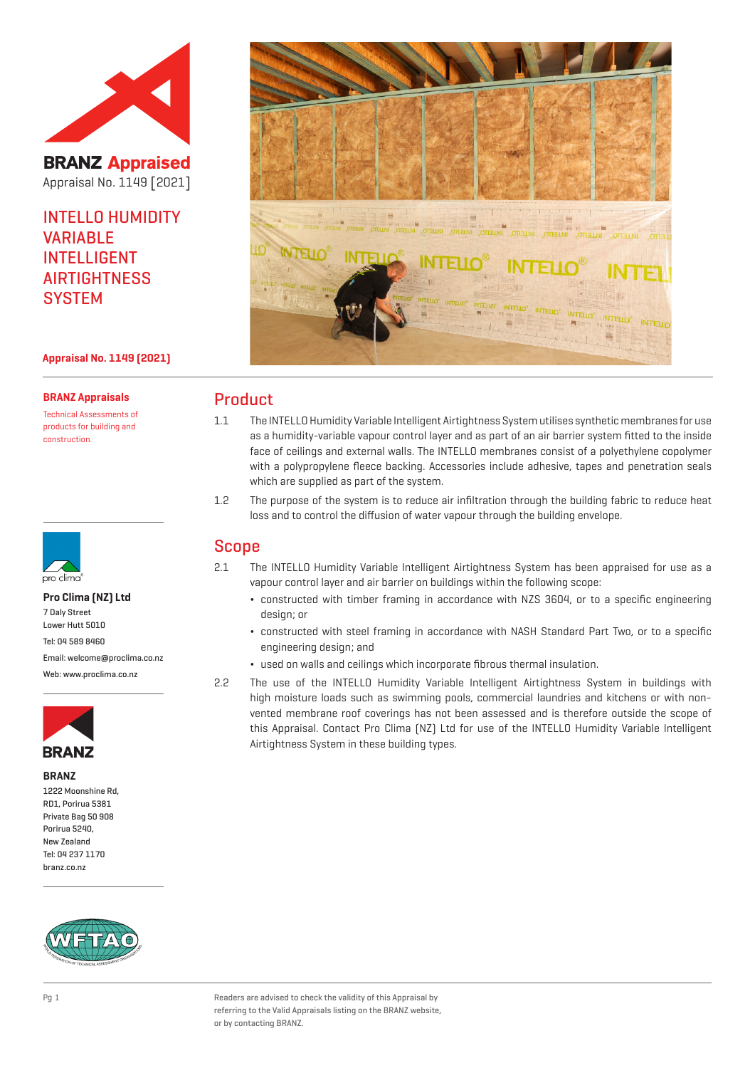

**BRANZ Appraised** Appraisal No. 1149 [2021]

INTELLO HUMIDITY **VARIABLE** INTELLIGENT **AIRTIGHTNESS SYSTEM** 

#### **Appraisal No. 1149 (2021)**

#### **BRANZ Appraisals**

Technical Assessments of products for building and construction.



### **Pro Clima (NZ) Ltd**

7 Daly Street Lower Hutt 5010 Tel: 04 589 8460 Email: welcome@proclima.co.nz Web: www.proclima.co.nz



**BRANZ**

1222 Moonshine Rd, RD1, Porirua 5381 Private Bag 50 908 Porirua 5240, New Zealand Tel: 04 237 1170 branz.co.nz





## Product

- 1.1 The INTELLO Humidity Variable Intelligent Airtightness System utilises synthetic membranes for use as a humidity-variable vapour control layer and as part of an air barrier system fitted to the inside face of ceilings and external walls. The INTELLO membranes consist of a polyethylene copolymer with a polypropylene fleece backing. Accessories include adhesive, tapes and penetration seals which are supplied as part of the system.
- 1.2 The purpose of the system is to reduce air infiltration through the building fabric to reduce heat loss and to control the diffusion of water vapour through the building envelope.

## Scope

- 2.1 The INTELLO Humidity Variable Intelligent Airtightness System has been appraised for use as a vapour control layer and air barrier on buildings within the following scope:
	- ¬ constructed with timber framing in accordance with NZS 3604, or to a specific engineering design; or
	- ¬ constructed with steel framing in accordance with NASH Standard Part Two, or to a specific engineering design; and
	- ¬ used on walls and ceilings which incorporate fibrous thermal insulation.
- 2.2 The use of the INTELLO Humidity Variable Intelligent Airtightness System in buildings with high moisture loads such as swimming pools, commercial laundries and kitchens or with nonvented membrane roof coverings has not been assessed and is therefore outside the scope of this Appraisal. Contact Pro Clima (NZ) Ltd for use of the INTELLO Humidity Variable Intelligent Airtightness System in these building types.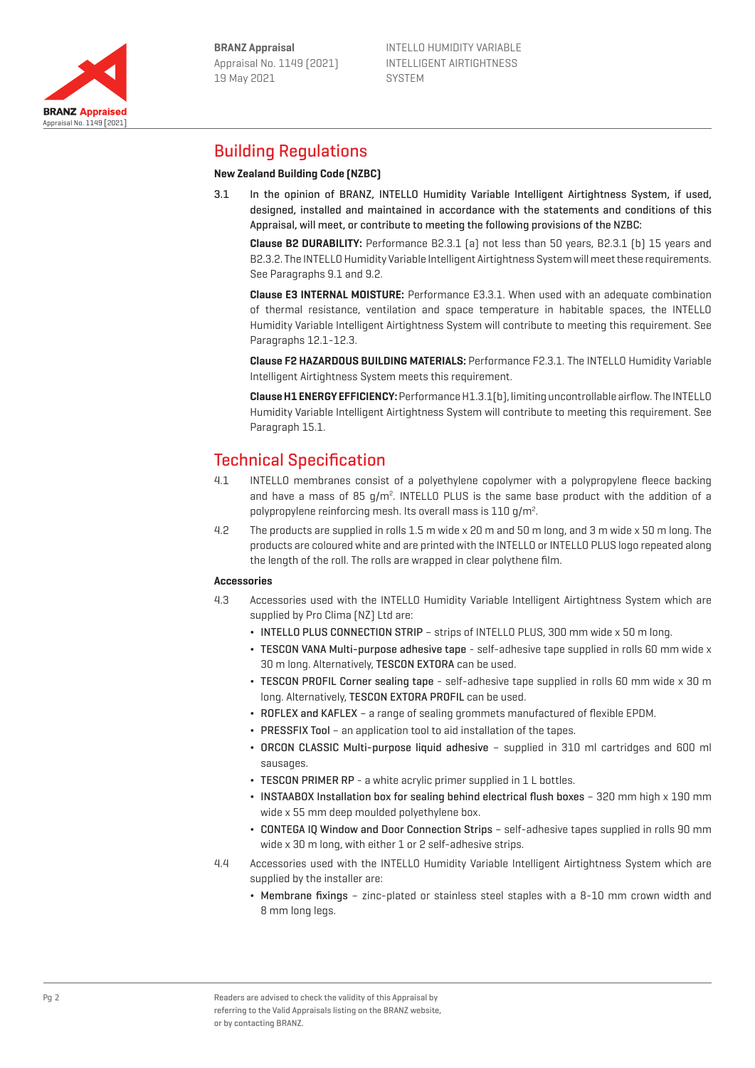

Appraisal No. 1149 [2021]

**BRANZ Appraised** 



## Building Regulations

## **New Zealand Building Code (NZBC)**

3.1 In the opinion of BRANZ, INTELLO Humidity Variable Intelligent Airtightness System, if used, designed, installed and maintained in accordance with the statements and conditions of this Appraisal, will meet, or contribute to meeting the following provisions of the NZBC:

**Clause B2 DURABILITY:** Performance B2.3.1 (a) not less than 50 years, B2.3.1 (b) 15 years and B2.3.2. The INTELLO Humidity Variable Intelligent Airtightness System will meet these requirements. See Paragraphs 9.1 and 9.2.

**Clause E3 INTERNAL MOISTURE:** Performance E3.3.1. When used with an adequate combination of thermal resistance, ventilation and space temperature in habitable spaces, the INTELLO Humidity Variable Intelligent Airtightness System will contribute to meeting this requirement. See Paragraphs 12.1-12.3.

**Clause F2 HAZARDOUS BUILDING MATERIALS:** Performance F2.3.1. The INTELLO Humidity Variable Intelligent Airtightness System meets this requirement.

**Clause H1 ENERGY EFFICIENCY:** Performance H1.3.1(b), limiting uncontrollable airflow. The INTELLO Humidity Variable Intelligent Airtightness System will contribute to meeting this requirement. See Paragraph 15.1.

## Technical Specification

- 4.1 INTELLO membranes consist of a polyethylene copolymer with a polypropylene fleece backing and have a mass of 85  $g/m^2$ . INTELLO PLUS is the same base product with the addition of a polypropylene reinforcing mesh. Its overall mass is  $110$  g/m<sup>2</sup>.
- 4.2 The products are supplied in rolls 1.5 m wide x 20 m and 50 m long, and 3 m wide x 50 m long. The products are coloured white and are printed with the INTELLO or INTELLO PLUS logo repeated along the length of the roll. The rolls are wrapped in clear polythene film.

#### **Accessories**

- 4.3 Accessories used with the INTELLO Humidity Variable Intelligent Airtightness System which are supplied by Pro Clima (NZ) Ltd are:
	- ¬ INTELLO PLUS CONNECTION STRIP strips of INTELLO PLUS, 300 mm wide x 50 m long.
	- $\cdot$  TESCON VANA Multi-purpose adhesive tape self-adhesive tape supplied in rolls 60 mm wide x 30 m long. Alternatively, TESCON EXTORA can be used.
	- ¬ TESCON PROFIL Corner sealing tape self-adhesive tape supplied in rolls 60 mm wide x 30 m long. Alternatively, TESCON EXTORA PROFIL can be used.
	- ¬ ROFLEX and KAFLEX a range of sealing grommets manufactured of flexible EPDM.
	- PRESSFIX Tool an application tool to aid installation of the tapes.
	- ¬ ORCON CLASSIC Multi-purpose liquid adhesive supplied in 310 ml cartridges and 600 ml sausages.
	- TESCON PRIMER RP a white acrylic primer supplied in 1 L bottles.
	- ¬ INSTAABOX Installation box for sealing behind electrical flush boxes 320 mm high x 190 mm wide x 55 mm deep moulded polyethylene box.
	- ¬ CONTEGA IQ Window and Door Connection Strips self-adhesive tapes supplied in rolls 90 mm wide x 30 m long, with either 1 or 2 self-adhesive strips.
- 4.4 Accessories used with the INTELLO Humidity Variable Intelligent Airtightness System which are supplied by the installer are:
	- ¬ Membrane fixings zinc-plated or stainless steel staples with a 8-10 mm crown width and 8 mm long legs.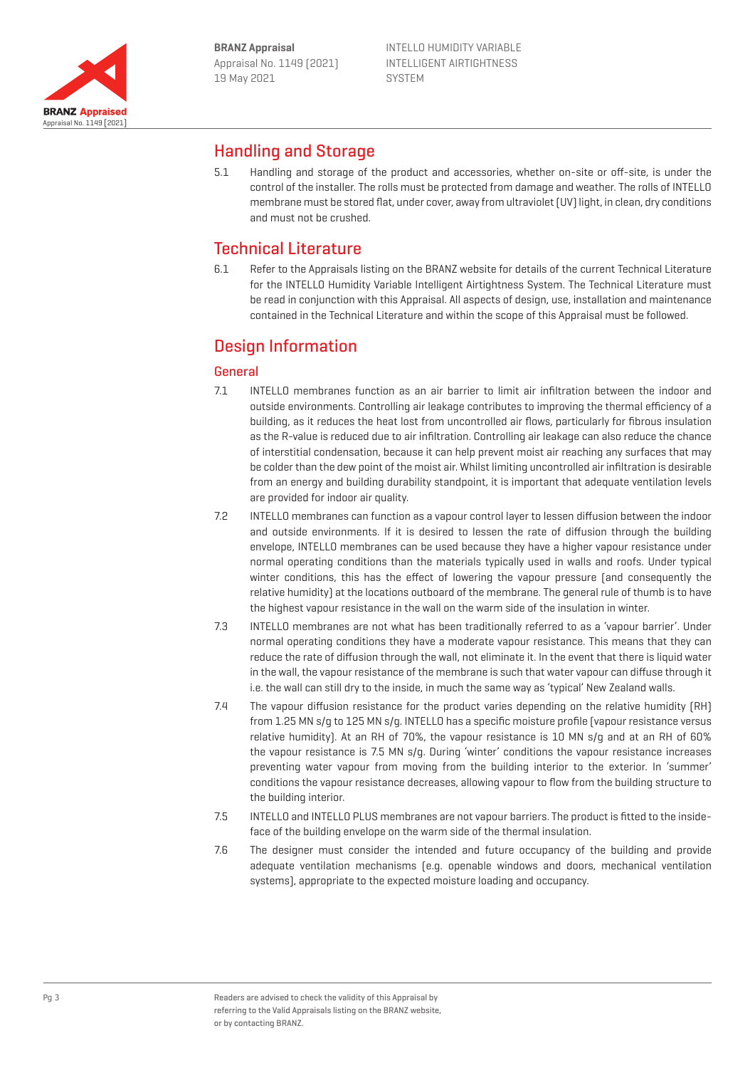

# Handling and Storage

5.1 Handling and storage of the product and accessories, whether on-site or off-site, is under the control of the installer. The rolls must be protected from damage and weather. The rolls of INTELLO membrane must be stored flat, under cover, away from ultraviolet (UV) light, in clean, dry conditions and must not be crushed.

# Technical Literature

6.1 Refer to the Appraisals listing on the BRANZ website for details of the current Technical Literature for the INTELLO Humidity Variable Intelligent Airtightness System. The Technical Literature must be read in conjunction with this Appraisal. All aspects of design, use, installation and maintenance contained in the Technical Literature and within the scope of this Appraisal must be followed.

# Design Information

## General

- 7.1 INTELLO membranes function as an air barrier to limit air infiltration between the indoor and outside environments. Controlling air leakage contributes to improving the thermal efficiency of a building, as it reduces the heat lost from uncontrolled air flows, particularly for fibrous insulation as the R-value is reduced due to air infiltration. Controlling air leakage can also reduce the chance of interstitial condensation, because it can help prevent moist air reaching any surfaces that may be colder than the dew point of the moist air. Whilst limiting uncontrolled air infiltration is desirable from an energy and building durability standpoint, it is important that adequate ventilation levels are provided for indoor air quality.
- 7.2 INTELLO membranes can function as a vapour control layer to lessen diffusion between the indoor and outside environments. If it is desired to lessen the rate of diffusion through the building envelope, INTELLO membranes can be used because they have a higher vapour resistance under normal operating conditions than the materials typically used in walls and roofs. Under typical winter conditions, this has the effect of lowering the vapour pressure (and consequently the relative humidity) at the locations outboard of the membrane. The general rule of thumb is to have the highest vapour resistance in the wall on the warm side of the insulation in winter.
- 7.3 INTELLO membranes are not what has been traditionally referred to as a 'vapour barrier'. Under normal operating conditions they have a moderate vapour resistance. This means that they can reduce the rate of diffusion through the wall, not eliminate it. In the event that there is liquid water in the wall, the vapour resistance of the membrane is such that water vapour can diffuse through it i.e. the wall can still dry to the inside, in much the same way as 'typical' New Zealand walls.
- 7.4 The vapour diffusion resistance for the product varies depending on the relative humidity (RH) from 1.25 MN s/g to 125 MN s/g. INTELLO has a specific moisture profile (vapour resistance versus relative humidity). At an RH of 70%, the vapour resistance is 10 MN s/g and at an RH of 60% the vapour resistance is 7.5 MN s/g. During 'winter' conditions the vapour resistance increases preventing water vapour from moving from the building interior to the exterior. In 'summer' conditions the vapour resistance decreases, allowing vapour to flow from the building structure to the building interior.
- 7.5 INTELLO and INTELLO PLUS membranes are not vapour barriers. The product is fitted to the insideface of the building envelope on the warm side of the thermal insulation.
- 7.6 The designer must consider the intended and future occupancy of the building and provide adequate ventilation mechanisms (e.g. openable windows and doors, mechanical ventilation systems), appropriate to the expected moisture loading and occupancy.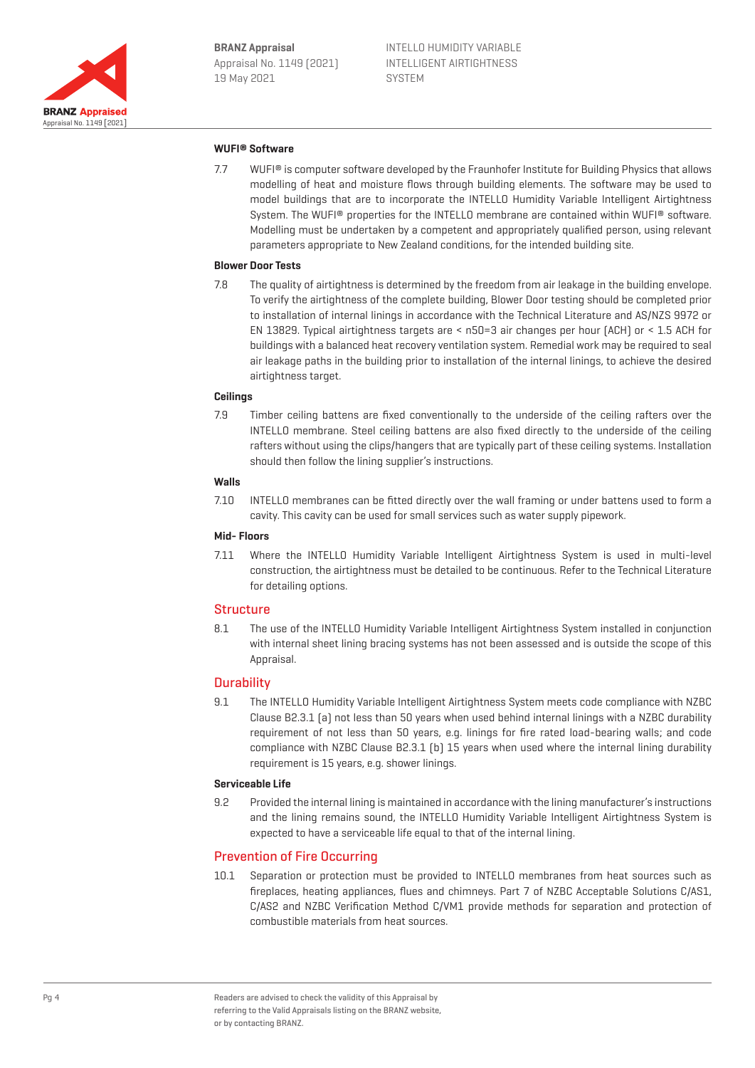

#### **WUFI® Software**

7.7 WUFI® is computer software developed by the Fraunhofer Institute for Building Physics that allows modelling of heat and moisture flows through building elements. The software may be used to model buildings that are to incorporate the INTELLO Humidity Variable Intelligent Airtightness System. The WUFI® properties for the INTELLO membrane are contained within WUFI® software. Modelling must be undertaken by a competent and appropriately qualified person, using relevant parameters appropriate to New Zealand conditions, for the intended building site.

#### **Blower Door Tests**

7.8 The quality of airtightness is determined by the freedom from air leakage in the building envelope. To verify the airtightness of the complete building, Blower Door testing should be completed prior to installation of internal linings in accordance with the Technical Literature and AS/NZS 9972 or EN 13829. Typical airtightness targets are < n50=3 air changes per hour (ACH) or < 1.5 ACH for buildings with a balanced heat recovery ventilation system. Remedial work may be required to seal air leakage paths in the building prior to installation of the internal linings, to achieve the desired airtightness target.

#### **Ceilings**

7.9 Timber ceiling battens are fixed conventionally to the underside of the ceiling rafters over the INTELLO membrane. Steel ceiling battens are also fixed directly to the underside of the ceiling rafters without using the clips/hangers that are typically part of these ceiling systems. Installation should then follow the lining supplier's instructions.

#### **Walls**

7.10 INTELLO membranes can be fitted directly over the wall framing or under battens used to form a cavity. This cavity can be used for small services such as water supply pipework.

#### **Mid- Floors**

7.11 Where the INTELLO Humidity Variable Intelligent Airtightness System is used in multi-level construction, the airtightness must be detailed to be continuous. Refer to the Technical Literature for detailing options.

#### **Structure**

8.1 The use of the INTELLO Humidity Variable Intelligent Airtightness System installed in conjunction with internal sheet lining bracing systems has not been assessed and is outside the scope of this Appraisal.

#### **Durability**

9.1 The INTELLO Humidity Variable Intelligent Airtightness System meets code compliance with NZBC Clause B2.3.1 (a) not less than 50 years when used behind internal linings with a NZBC durability requirement of not less than 50 years, e.g. linings for fire rated load-bearing walls; and code compliance with NZBC Clause B2.3.1 (b) 15 years when used where the internal lining durability requirement is 15 years, e.g. shower linings.

#### **Serviceable Life**

9.2 Provided the internal lining is maintained in accordance with the lining manufacturer's instructions and the lining remains sound, the INTELLO Humidity Variable Intelligent Airtightness System is expected to have a serviceable life equal to that of the internal lining.

## Prevention of Fire Occurring

10.1 Separation or protection must be provided to INTELLO membranes from heat sources such as fireplaces, heating appliances, flues and chimneys. Part 7 of NZBC Acceptable Solutions C/AS1, C/AS2 and NZBC Verification Method C/VM1 provide methods for separation and protection of combustible materials from heat sources.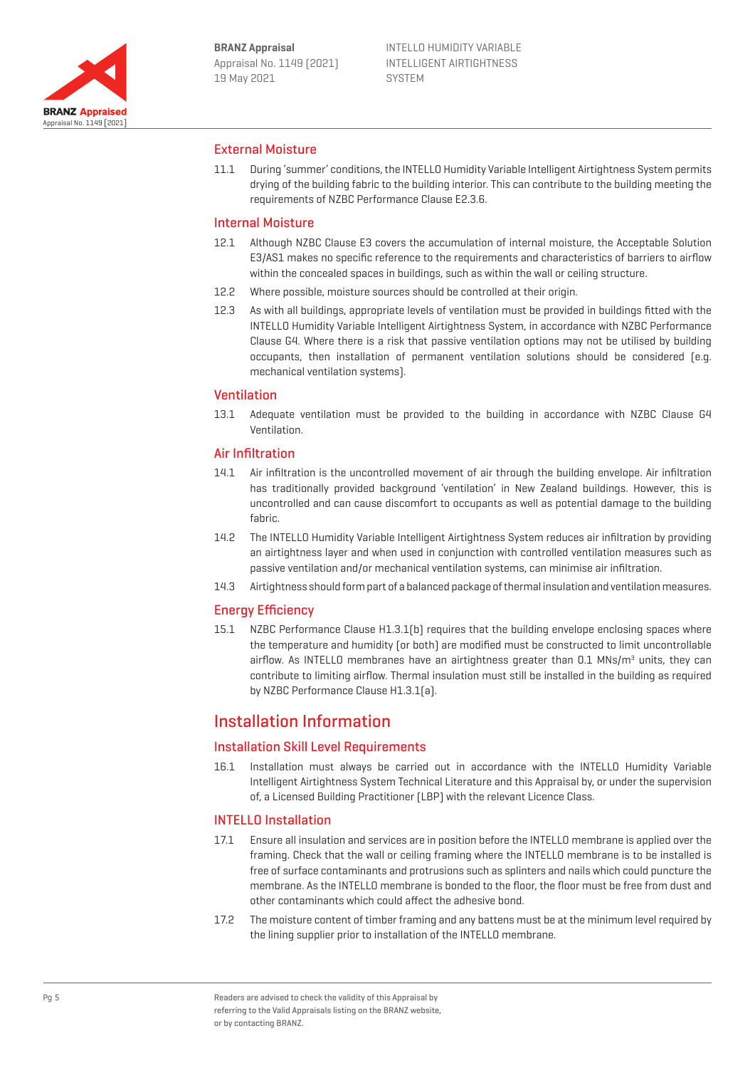

## External Moisture

11.1 During 'summer' conditions, the INTELLO Humidity Variable Intelligent Airtightness System permits drying of the building fabric to the building interior. This can contribute to the building meeting the requirements of NZBC Performance Clause E2.3.6.

#### Internal Moisture

- 12.1 Although NZBC Clause E3 covers the accumulation of internal moisture, the Acceptable Solution E3/AS1 makes no specific reference to the requirements and characteristics of barriers to airflow within the concealed spaces in buildings, such as within the wall or ceiling structure.
- 12.2 Where possible, moisture sources should be controlled at their origin.
- 12.3 As with all buildings, appropriate levels of ventilation must be provided in buildings fitted with the INTELLO Humidity Variable Intelligent Airtightness System, in accordance with NZBC Performance Clause G4. Where there is a risk that passive ventilation options may not be utilised by building occupants, then installation of permanent ventilation solutions should be considered (e.g. mechanical ventilation systems).

#### Ventilation

13.1 Adequate ventilation must be provided to the building in accordance with NZBC Clause G4 Ventilation.

## Air Infiltration

- 14.1 Air infiltration is the uncontrolled movement of air through the building envelope. Air infiltration has traditionally provided background 'ventilation' in New Zealand buildings. However, this is uncontrolled and can cause discomfort to occupants as well as potential damage to the building fabric.
- 14.2 The INTELLO Humidity Variable Intelligent Airtightness System reduces air infiltration by providing an airtightness layer and when used in conjunction with controlled ventilation measures such as passive ventilation and/or mechanical ventilation systems, can minimise air infiltration.
- 14.3 Airtightness should form part of a balanced package of thermal insulation and ventilation measures.

## Energy Efficiency

15.1 NZBC Performance Clause H1.3.1(b) requires that the building envelope enclosing spaces where the temperature and humidity (or both) are modified must be constructed to limit uncontrollable airflow. As INTELLO membranes have an airtightness greater than  $0.1$  MNs/ $m<sup>3</sup>$  units, they can contribute to limiting airflow. Thermal insulation must still be installed in the building as required by NZBC Performance Clause H1.3.1(a).

## Installation Information

## Installation Skill Level Requirements

16.1 Installation must always be carried out in accordance with the INTELLO Humidity Variable Intelligent Airtightness System Technical Literature and this Appraisal by, or under the supervision of, a Licensed Building Practitioner (LBP) with the relevant Licence Class.

## INTELLO Installation

- 17.1 Ensure all insulation and services are in position before the INTELLO membrane is applied over the framing. Check that the wall or ceiling framing where the INTELLO membrane is to be installed is free of surface contaminants and protrusions such as splinters and nails which could puncture the membrane. As the INTELLO membrane is bonded to the floor, the floor must be free from dust and other contaminants which could affect the adhesive bond.
- 17.2 The moisture content of timber framing and any battens must be at the minimum level required by the lining supplier prior to installation of the INTELLO membrane.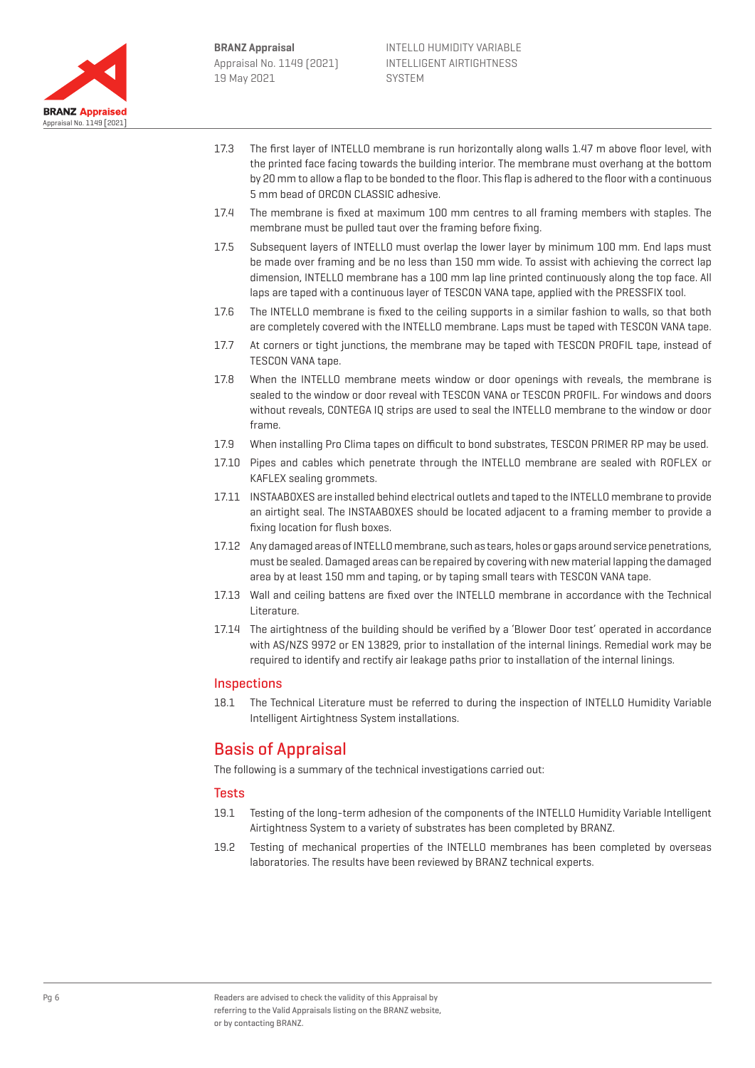

- 17.3 The first layer of INTELLO membrane is run horizontally along walls 1.47 m above floor level, with the printed face facing towards the building interior. The membrane must overhang at the bottom by 20 mm to allow a flap to be bonded to the floor. This flap is adhered to the floor with a continuous 5 mm bead of ORCON CLASSIC adhesive.
- 17.4 The membrane is fixed at maximum 100 mm centres to all framing members with staples. The membrane must be pulled taut over the framing before fixing.
- 17.5 Subsequent layers of INTELLO must overlap the lower layer by minimum 100 mm. End laps must be made over framing and be no less than 150 mm wide. To assist with achieving the correct lap dimension, INTELLO membrane has a 100 mm lap line printed continuously along the top face. All laps are taped with a continuous layer of TESCON VANA tape, applied with the PRESSFIX tool.
- 17.6 The INTELLO membrane is fixed to the ceiling supports in a similar fashion to walls, so that both are completely covered with the INTELLO membrane. Laps must be taped with TESCON VANA tape.
- 17.7 At corners or tight junctions, the membrane may be taped with TESCON PROFIL tape, instead of TESCON VANA tape.
- 17.8 When the INTELLO membrane meets window or door openings with reveals, the membrane is sealed to the window or door reveal with TESCON VANA or TESCON PROFIL. For windows and doors without reveals, CONTEGA IQ strips are used to seal the INTELLO membrane to the window or door frame.
- 17.9 When installing Pro Clima tapes on difficult to bond substrates, TESCON PRIMER RP may be used.
- 17.10 Pipes and cables which penetrate through the INTELLO membrane are sealed with ROFLEX or KAFLEX sealing grommets.
- 17.11 INSTAABOXES are installed behind electrical outlets and taped to the INTELLO membrane to provide an airtight seal. The INSTAABOXES should be located adjacent to a framing member to provide a fixing location for flush boxes.
- 17.12 Any damaged areas of INTELLO membrane, such as tears, holes or gaps around service penetrations, must be sealed. Damaged areas can be repaired by covering with new material lapping the damaged area by at least 150 mm and taping, or by taping small tears with TESCON VANA tape.
- 17.13 Wall and ceiling battens are fixed over the INTELLO membrane in accordance with the Technical Literature.
- 17.14 The airtightness of the building should be verified by a 'Blower Door test' operated in accordance with AS/NZS 9972 or EN 13829, prior to installation of the internal linings. Remedial work may be required to identify and rectify air leakage paths prior to installation of the internal linings.

#### **Inspections**

18.1 The Technical Literature must be referred to during the inspection of INTELLO Humidity Variable Intelligent Airtightness System installations.

## Basis of Appraisal

The following is a summary of the technical investigations carried out:

#### **Tests**

- 19.1 Testing of the long-term adhesion of the components of the INTELLO Humidity Variable Intelligent Airtightness System to a variety of substrates has been completed by BRANZ.
- 19.2 Testing of mechanical properties of the INTELLO membranes has been completed by overseas laboratories. The results have been reviewed by BRANZ technical experts.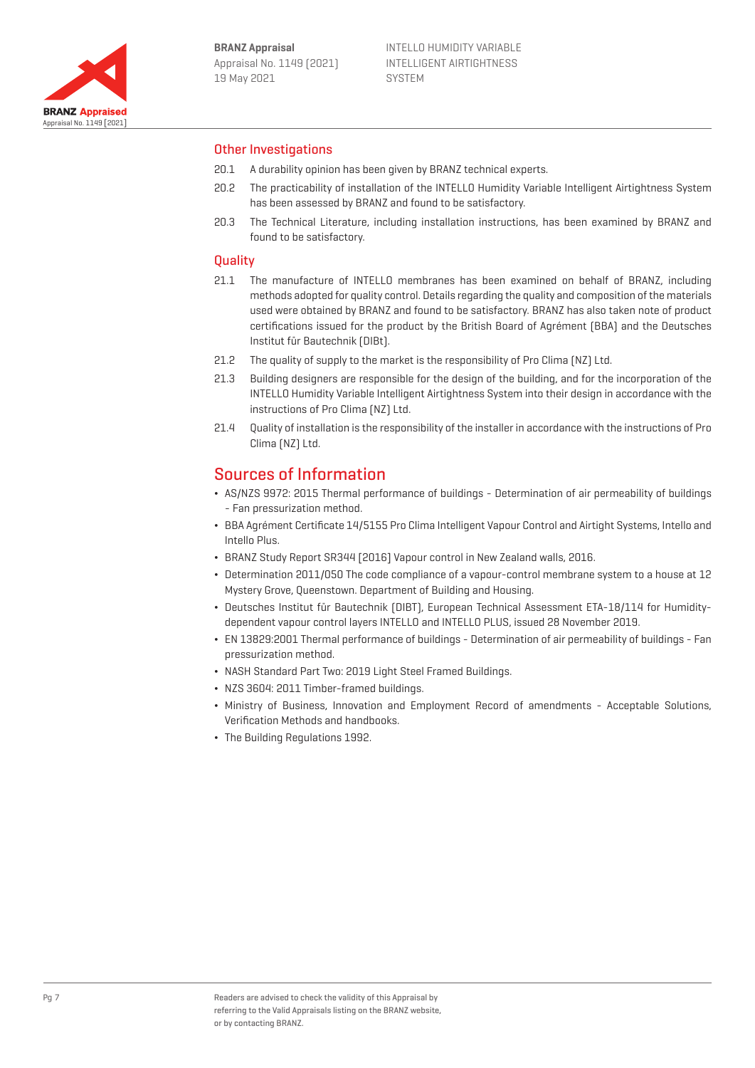

## Other Investigations

- 20.1 A durability opinion has been given by BRANZ technical experts.
- 20.2 The practicability of installation of the INTELLO Humidity Variable Intelligent Airtightness System has been assessed by BRANZ and found to be satisfactory.
- 20.3 The Technical Literature, including installation instructions, has been examined by BRANZ and found to be satisfactory.

### **Quality**

- 21.1 The manufacture of INTELLO membranes has been examined on behalf of BRANZ, including methods adopted for quality control. Details regarding the quality and composition of the materials used were obtained by BRANZ and found to be satisfactory. BRANZ has also taken note of product certifications issued for the product by the British Board of Agrément (BBA) and the Deutsches Institut für Bautechnik (DIBt).
- 21.2 The quality of supply to the market is the responsibility of Pro Clima (NZ) Ltd.
- 21.3 Building designers are responsible for the design of the building, and for the incorporation of the INTELLO Humidity Variable Intelligent Airtightness System into their design in accordance with the instructions of Pro Clima (NZ) Ltd.
- 21.4 Quality of installation is the responsibility of the installer in accordance with the instructions of Pro Clima (NZ) Ltd.

## Sources of Information

- ¬ AS/NZS 9972: 2015 Thermal performance of buildings Determination of air permeability of buildings - Fan pressurization method.
- ¬ BBA Agrément Certificate 14/5155 Pro Clima Intelligent Vapour Control and Airtight Systems, Intello and Intello Plus.
- ¬ BRANZ Study Report SR344 [2016] Vapour control in New Zealand walls, 2016.
- ¬ Determination 2011/050 The code compliance of a vapour-control membrane system to a house at 12 Mystery Grove, Queenstown. Department of Building and Housing.
- ¬ Deutsches Institut für Bautechnik (DIBT), European Technical Assessment ETA-18/114 for Humiditydependent vapour control layers INTELLO and INTELLO PLUS, issued 28 November 2019.
- ¬ EN 13829:2001 Thermal performance of buildings Determination of air permeability of buildings Fan pressurization method.
- ¬ NASH Standard Part Two: 2019 Light Steel Framed Buildings.
- ¬ NZS 3604: 2011 Timber-framed buildings.
- ¬ Ministry of Business, Innovation and Employment Record of amendments Acceptable Solutions, Verification Methods and handbooks.
- ¬ The Building Regulations 1992.